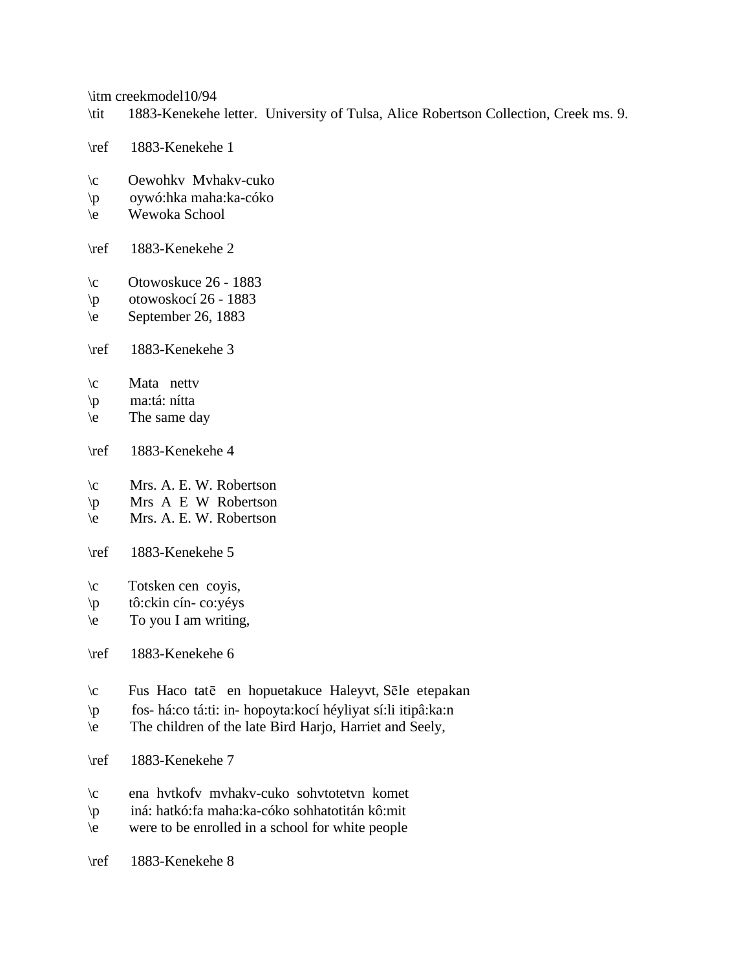\itm creekmodel10/94

- \tit 1883-Kenekehe letter. University of Tulsa, Alice Robertson Collection, Creek ms. 9.
- \ref 1883-Kenekehe 1
- \c Oewohkv Mvhakv-cuko
- \p oywó:hka maha:ka-cóko
- \e Wewoka School
- \ref 1883-Kenekehe 2
- \c Otowoskuce 26 1883
- $\pmb{\text{p}}$  otowoskocí 26 1883
- $\text{e}$  September 26, 1883
- \ref 1883-Kenekehe 3
- \c Mata nettv
- \p ma:tá: nítta
- $\le$  The same day
- \ref 1883-Kenekehe 4
- \c Mrs. A. E. W. Robertson
- $\pi$  Mrs A E W Robertson
- \e Mrs. A. E. W. Robertson
- \ref 1883-Kenekehe 5
- $\c$  Totsken cen covis,
- \p tô:ckin cín- co:yéys
- $\leq$  To you I am writing,

\ref 1883-Kenekehe 6

- $\c$  Fus Haco tate en hopuetakuce Haleyvt, Sele etepakan
- \p fos- há:co tá:ti: in- hopoyta:kocí héyliyat sí:li itipâ:ka:n
- \e The children of the late Bird Harjo, Harriet and Seely,
- \ref 1883-Kenekehe 7
- \c ena hvtkofv mvhakv-cuko sohvtotetvn komet
- \p iná: hatkó:fa maha:ka-cóko sohhatotitán kô:mit
- \e were to be enrolled in a school for white people

\ref 1883-Kenekehe 8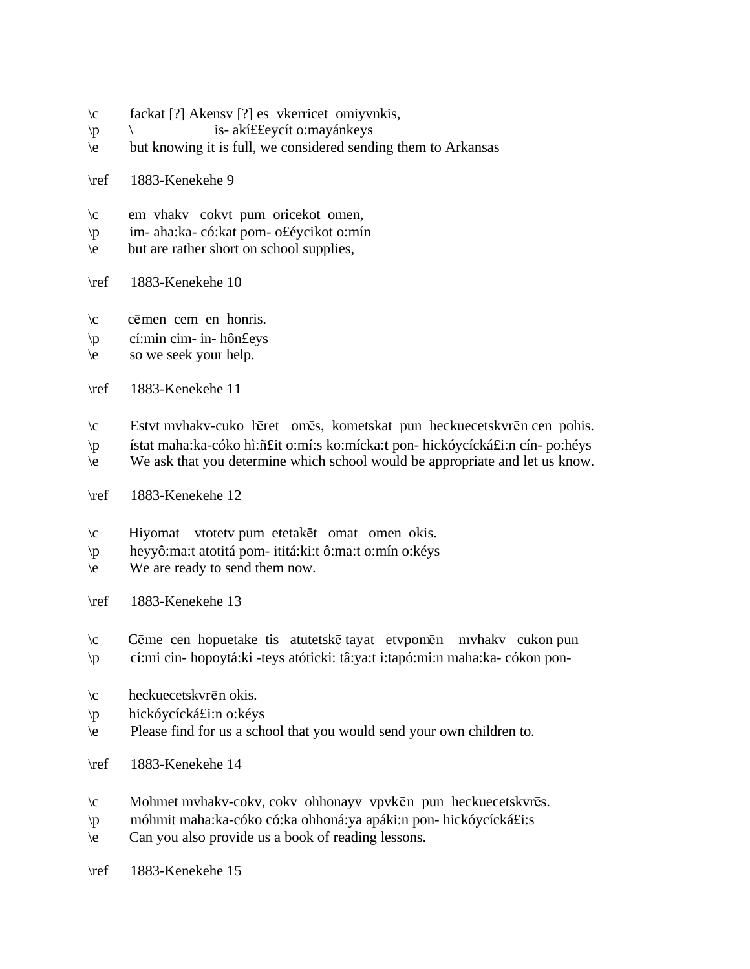- \c fackat [?] Akensv [?] es vkerricet omiyvnkis,
- \p \ is- akí££eycít o:mayánkeys
- \e but knowing it is full, we considered sending them to Arkansas
- \ref 1883-Kenekehe 9
- \c em vhakv cokvt pum oricekot omen,
- \p im- aha:ka- có:kat pom- o£éycikot o:mín
- \e but are rather short on school supplies,
- \ref 1883-Kenekehe 10
- $\c$  cēmen cem en honris.
- \p cí:min cim- in- hôn£eys
- \e so we seek your help.
- \ref 1883-Kenekehe 11
- $\c$  Estvt mvhakv-cuko hēret omēs, kometskat pun heckuecetskvrēn cen pohis.
- \p ístat maha:ka-cóko hì:ñ£it o:mí:s ko:mícka:t pon- hickóycícká£i:n cín- po:héys
- \e We ask that you determine which school would be appropriate and let us know.
- \ref 1883-Kenekehe 12
- $\c$  Hiyomat vtotety pum etetakēt omat omen okis.
- \p heyyô:ma:t atotitá pom- ititá:ki:t ô:ma:t o:mín o:kéys
- \e We are ready to send them now.
- \ref 1883-Kenekehe 13
- $\c$  Cēme cen hopuetake tis atutetskē tayat etvpomēn mvhakv cukon pun \p cí:mi cin- hopoytá:ki -teys atóticki: tâ:ya:t i:tapó:mi:n maha:ka- cókon pon-
- $\c$  heckuecetskvrēn okis.
- \p hickóycícká£i:n o:kéys
- \e Please find for us a school that you would send your own children to.
- \ref 1883-Kenekehe 14
- $\c$  Mohmet mvhakv-cokv, cokv ohhonayv vpvkēn pun heckuecetskvrēs.
- \p móhmit maha:ka-cóko có:ka ohhoná:ya apáki:n pon- hickóycícká£i:s
- \e Can you also provide us a book of reading lessons.
- \ref 1883-Kenekehe 15